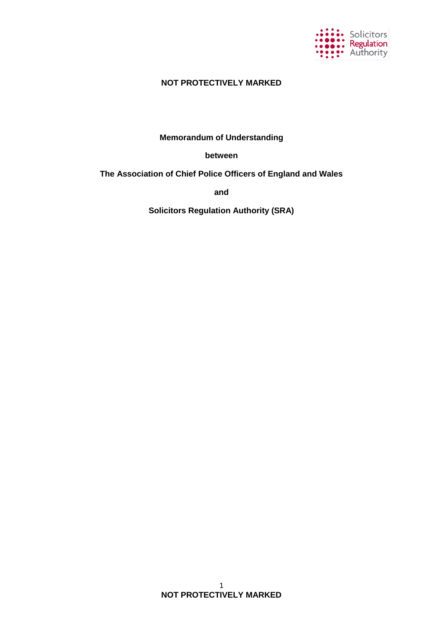

# **NOT PROTECTIVELY MARKED**

# **Memorandum of Understanding**

### **between**

# **The Association of Chief Police Officers of England and Wales**

**and**

**Solicitors Regulation Authority (SRA)**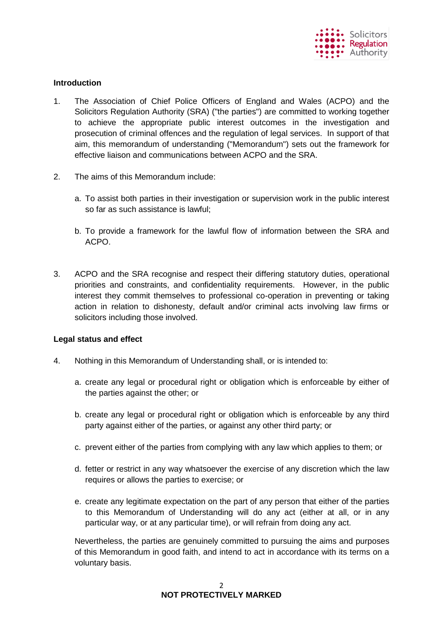

### **Introduction**

- 1. The Association of Chief Police Officers of England and Wales (ACPO) and the Solicitors Regulation Authority (SRA) ("the parties") are committed to working together to achieve the appropriate public interest outcomes in the investigation and prosecution of criminal offences and the regulation of legal services. In support of that aim, this memorandum of understanding ("Memorandum") sets out the framework for effective liaison and communications between ACPO and the SRA.
- 2. The aims of this Memorandum include:
	- a. To assist both parties in their investigation or supervision work in the public interest so far as such assistance is lawful;
	- b. To provide a framework for the lawful flow of information between the SRA and ACPO.
- 3. ACPO and the SRA recognise and respect their differing statutory duties, operational priorities and constraints, and confidentiality requirements. However, in the public interest they commit themselves to professional co-operation in preventing or taking action in relation to dishonesty, default and/or criminal acts involving law firms or solicitors including those involved.

### **Legal status and effect**

- 4. Nothing in this Memorandum of Understanding shall, or is intended to:
	- a. create any legal or procedural right or obligation which is enforceable by either of the parties against the other; or
	- b. create any legal or procedural right or obligation which is enforceable by any third party against either of the parties, or against any other third party; or
	- c. prevent either of the parties from complying with any law which applies to them; or
	- d. fetter or restrict in any way whatsoever the exercise of any discretion which the law requires or allows the parties to exercise; or
	- e. create any legitimate expectation on the part of any person that either of the parties to this Memorandum of Understanding will do any act (either at all, or in any particular way, or at any particular time), or will refrain from doing any act.

Nevertheless, the parties are genuinely committed to pursuing the aims and purposes of this Memorandum in good faith, and intend to act in accordance with its terms on a voluntary basis.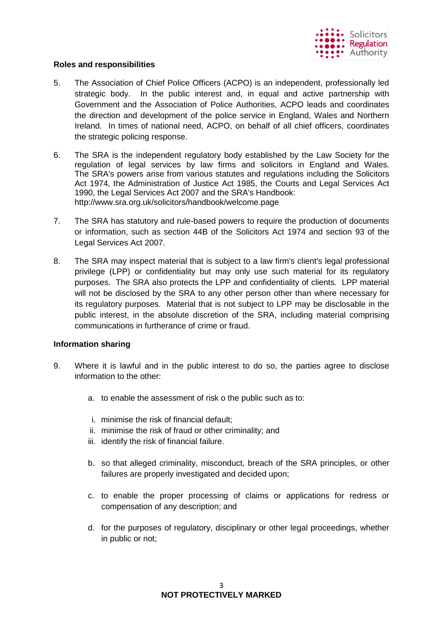

### **Roles and responsibilities**

- 5. The Association of Chief Police Officers (ACPO) is an independent, professionally led strategic body. In the public interest and, in equal and active partnership with Government and the Association of Police Authorities, ACPO leads and coordinates the direction and development of the police service in England, Wales and Northern Ireland. In times of national need, ACPO, on behalf of all chief officers, coordinates the strategic policing response.
- 6. The SRA is the independent regulatory body established by the Law Society for the regulation of legal services by law firms and solicitors in England and Wales. The SRA's powers arise from various statutes and regulations including the Solicitors Act 1974, the Administration of Justice Act 1985, the Courts and Legal Services Act 1990, the Legal Services Act 2007 and the SRA's Handbook: http://www.sra.org.uk/solicitors/handbook/welcome.page
- 7. The SRA has statutory and rule-based powers to require the production of documents or information, such as section 44B of the Solicitors Act 1974 and section 93 of the Legal Services Act 2007.
- 8. The SRA may inspect material that is subject to a law firm's client's legal professional privilege (LPP) or confidentiality but may only use such material for its regulatory purposes. The SRA also protects the LPP and confidentiality of clients. LPP material will not be disclosed by the SRA to any other person other than where necessary for its regulatory purposes. Material that is not subject to LPP may be disclosable in the public interest, in the absolute discretion of the SRA, including material comprising communications in furtherance of crime or fraud.

### **Information sharing**

- 9. Where it is lawful and in the public interest to do so, the parties agree to disclose information to the other:
	- a. to enable the assessment of risk o the public such as to:
	- i. minimise the risk of financial default;
	- ii. minimise the risk of fraud or other criminality; and
	- iii. identify the risk of financial failure.
	- b. so that alleged criminality, misconduct, breach of the SRA principles, or other failures are properly investigated and decided upon;
	- c. to enable the proper processing of claims or applications for redress or compensation of any description; and
	- d. for the purposes of regulatory, disciplinary or other legal proceedings, whether in public or not;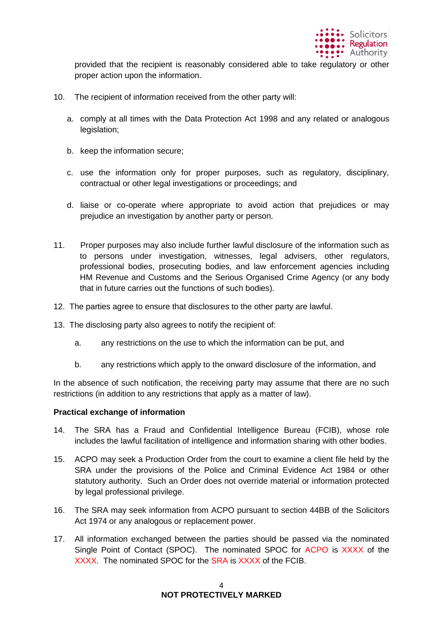

provided that the recipient is reasonably considered able to take regulatory or other proper action upon the information.

- 10. The recipient of information received from the other party will:
	- a. comply at all times with the Data Protection Act 1998 and any related or analogous legislation:
	- b. keep the information secure;
	- c. use the information only for proper purposes, such as regulatory, disciplinary, contractual or other legal investigations or proceedings; and
	- d. liaise or co-operate where appropriate to avoid action that prejudices or may prejudice an investigation by another party or person.
- 11. Proper purposes may also include further lawful disclosure of the information such as to persons under investigation, witnesses, legal advisers, other regulators, professional bodies, prosecuting bodies, and law enforcement agencies including HM Revenue and Customs and the Serious Organised Crime Agency (or any body that in future carries out the functions of such bodies).
- 12. The parties agree to ensure that disclosures to the other party are lawful.
- 13. The disclosing party also agrees to notify the recipient of:
	- a. any restrictions on the use to which the information can be put, and
	- b. any restrictions which apply to the onward disclosure of the information, and

In the absence of such notification, the receiving party may assume that there are no such restrictions (in addition to any restrictions that apply as a matter of law).

### **Practical exchange of information**

- 14. The SRA has a Fraud and Confidential Intelligence Bureau (FCIB), whose role includes the lawful facilitation of intelligence and information sharing with other bodies.
- 15. ACPO may seek a Production Order from the court to examine a client file held by the SRA under the provisions of the Police and Criminal Evidence Act 1984 or other statutory authority. Such an Order does not override material or information protected by legal professional privilege.
- 16. The SRA may seek information from ACPO pursuant to section 44BB of the Solicitors Act 1974 or any analogous or replacement power.
- 17. All information exchanged between the parties should be passed via the nominated Single Point of Contact (SPOC). The nominated SPOC for ACPO is XXXX of the XXXX. The nominated SPOC for the SRA is XXXX of the FCIB.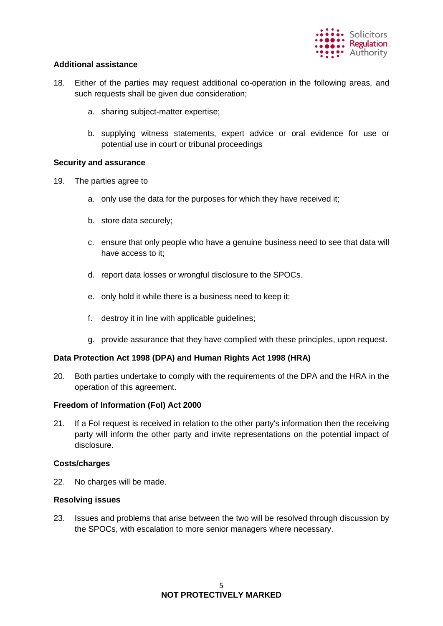

### **Additional assistance**

- 18. Either of the parties may request additional co-operation in the following areas, and such requests shall be given due consideration;
	- a. sharing subject-matter expertise;
	- b. supplying witness statements, expert advice or oral evidence for use or potential use in court or tribunal proceedings

### **Security and assurance**

- 19. The parties agree to
	- a. only use the data for the purposes for which they have received it;
	- b. store data securely;
	- c. ensure that only people who have a genuine business need to see that data will have access to it;
	- d. report data losses or wrongful disclosure to the SPOCs.
	- e. only hold it while there is a business need to keep it;
	- f. destroy it in line with applicable guidelines;
	- g. provide assurance that they have complied with these principles, upon request.

### **Data Protection Act 1998 (DPA) and Human Rights Act 1998 (HRA)**

20. Both parties undertake to comply with the requirements of the DPA and the HRA in the operation of this agreement.

### **Freedom of Information (FoI) Act 2000**

21. If a FoI request is received in relation to the other party's information then the receiving party will inform the other party and invite representations on the potential impact of disclosure.

### **Costs/charges**

22. No charges will be made.

### **Resolving issues**

23. Issues and problems that arise between the two will be resolved through discussion by the SPOCs, with escalation to more senior managers where necessary.